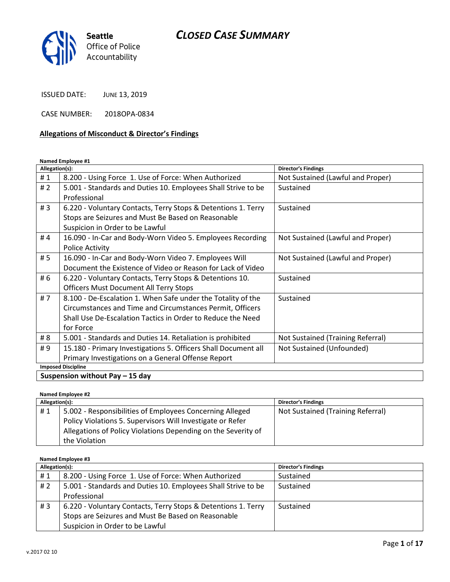

ISSUED DATE: JUNE 13, 2019

CASE NUMBER: 2018OPA-0834

#### Allegations of Misconduct & Director's Findings

#### Named Employee #1

| Allegation(s):            |                                                                | <b>Director's Findings</b>        |  |
|---------------------------|----------------------------------------------------------------|-----------------------------------|--|
| #1                        | 8.200 - Using Force 1. Use of Force: When Authorized           | Not Sustained (Lawful and Proper) |  |
| #2                        | 5.001 - Standards and Duties 10. Employees Shall Strive to be  | Sustained                         |  |
|                           | Professional                                                   |                                   |  |
| #3                        | 6.220 - Voluntary Contacts, Terry Stops & Detentions 1. Terry  | Sustained                         |  |
|                           | Stops are Seizures and Must Be Based on Reasonable             |                                   |  |
|                           | Suspicion in Order to be Lawful                                |                                   |  |
| #4                        | 16.090 - In-Car and Body-Worn Video 5. Employees Recording     | Not Sustained (Lawful and Proper) |  |
|                           | <b>Police Activity</b>                                         |                                   |  |
| # 5                       | 16.090 - In-Car and Body-Worn Video 7. Employees Will          | Not Sustained (Lawful and Proper) |  |
|                           | Document the Existence of Video or Reason for Lack of Video    |                                   |  |
| # 6                       | 6.220 - Voluntary Contacts, Terry Stops & Detentions 10.       | Sustained                         |  |
|                           | <b>Officers Must Document All Terry Stops</b>                  |                                   |  |
| #7                        | 8.100 - De-Escalation 1. When Safe under the Totality of the   | Sustained                         |  |
|                           | Circumstances and Time and Circumstances Permit, Officers      |                                   |  |
|                           | Shall Use De-Escalation Tactics in Order to Reduce the Need    |                                   |  |
|                           | for Force                                                      |                                   |  |
| # 8                       | 5.001 - Standards and Duties 14. Retaliation is prohibited     | Not Sustained (Training Referral) |  |
| #9                        | 15.180 - Primary Investigations 5. Officers Shall Document all | Not Sustained (Unfounded)         |  |
|                           | Primary Investigations on a General Offense Report             |                                   |  |
| <b>Imposed Discipline</b> |                                                                |                                   |  |
|                           | $\mathbf{r}$                                                   |                                   |  |

Suspension without Pay  $-15$  day

Named Employee #2

| Allegation(s): |                                                               | <b>Director's Findings</b>        |
|----------------|---------------------------------------------------------------|-----------------------------------|
| #1             | 5.002 - Responsibilities of Employees Concerning Alleged      | Not Sustained (Training Referral) |
|                | Policy Violations 5. Supervisors Will Investigate or Refer    |                                   |
|                | Allegations of Policy Violations Depending on the Severity of |                                   |
|                | the Violation                                                 |                                   |

#### Named Employee #3

| Allegation(s): |                                                               | <b>Director's Findings</b> |
|----------------|---------------------------------------------------------------|----------------------------|
| #1             | 8.200 - Using Force 1. Use of Force: When Authorized          | Sustained                  |
| # 2            | 5.001 - Standards and Duties 10. Employees Shall Strive to be | Sustained                  |
|                | Professional                                                  |                            |
| #3             | 6.220 - Voluntary Contacts, Terry Stops & Detentions 1. Terry | Sustained                  |
|                | Stops are Seizures and Must Be Based on Reasonable            |                            |
|                | Suspicion in Order to be Lawful                               |                            |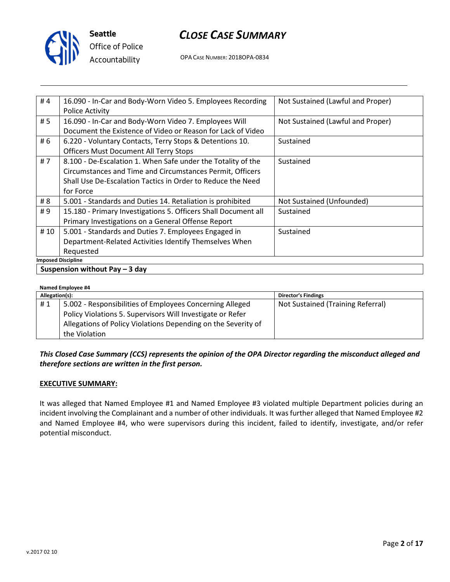

# CLOSE CASE SUMMARY

OPA CASE NUMBER: 2018OPA-0834

| #4                              | 16.090 - In-Car and Body-Worn Video 5. Employees Recording     | Not Sustained (Lawful and Proper) |
|---------------------------------|----------------------------------------------------------------|-----------------------------------|
|                                 | Police Activity                                                |                                   |
| # 5                             | 16.090 - In-Car and Body-Worn Video 7. Employees Will          | Not Sustained (Lawful and Proper) |
|                                 | Document the Existence of Video or Reason for Lack of Video    |                                   |
| # 6                             | 6.220 - Voluntary Contacts, Terry Stops & Detentions 10.       | Sustained                         |
|                                 | <b>Officers Must Document All Terry Stops</b>                  |                                   |
| #7                              | 8.100 - De-Escalation 1. When Safe under the Totality of the   | Sustained                         |
|                                 | Circumstances and Time and Circumstances Permit, Officers      |                                   |
|                                 | Shall Use De-Escalation Tactics in Order to Reduce the Need    |                                   |
|                                 | for Force                                                      |                                   |
| # 8                             | 5.001 - Standards and Duties 14. Retaliation is prohibited     | Not Sustained (Unfounded)         |
| #9                              | 15.180 - Primary Investigations 5. Officers Shall Document all | Sustained                         |
|                                 | Primary Investigations on a General Offense Report             |                                   |
| # 10                            | 5.001 - Standards and Duties 7. Employees Engaged in           | Sustained                         |
|                                 | Department-Related Activities Identify Themselves When         |                                   |
|                                 | Requested                                                      |                                   |
| <b>Imposed Discipline</b>       |                                                                |                                   |
| Suspension without Pay $-3$ day |                                                                |                                   |

#### Named Employee #4

| $\frac{1}{2}$  |                                                               |                                   |  |
|----------------|---------------------------------------------------------------|-----------------------------------|--|
| Allegation(s): |                                                               | <b>Director's Findings</b>        |  |
| #1             | 5.002 - Responsibilities of Employees Concerning Alleged      | Not Sustained (Training Referral) |  |
|                | Policy Violations 5. Supervisors Will Investigate or Refer    |                                   |  |
|                | Allegations of Policy Violations Depending on the Severity of |                                   |  |
|                | the Violation                                                 |                                   |  |

### This Closed Case Summary (CCS) represents the opinion of the OPA Director regarding the misconduct alleged and therefore sections are written in the first person.

#### EXECUTIVE SUMMARY:

It was alleged that Named Employee #1 and Named Employee #3 violated multiple Department policies during an incident involving the Complainant and a number of other individuals. It was further alleged that Named Employee #2 and Named Employee #4, who were supervisors during this incident, failed to identify, investigate, and/or refer potential misconduct.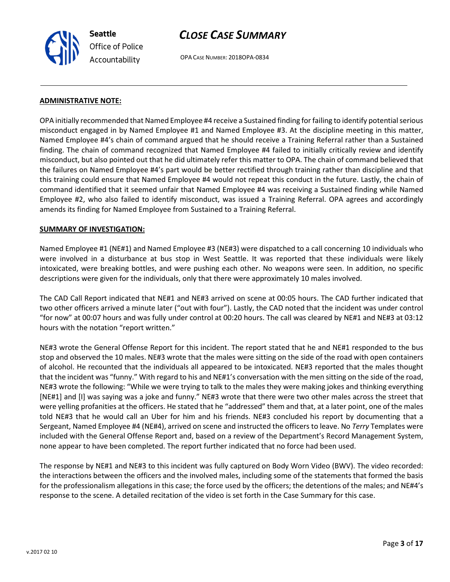

OPA CASE NUMBER: 2018OPA-0834

#### ADMINISTRATIVE NOTE:

OPA initially recommended that Named Employee #4 receive a Sustained finding for failing to identify potential serious misconduct engaged in by Named Employee #1 and Named Employee #3. At the discipline meeting in this matter, Named Employee #4's chain of command argued that he should receive a Training Referral rather than a Sustained finding. The chain of command recognized that Named Employee #4 failed to initially critically review and identify misconduct, but also pointed out that he did ultimately refer this matter to OPA. The chain of command believed that the failures on Named Employee #4's part would be better rectified through training rather than discipline and that this training could ensure that Named Employee #4 would not repeat this conduct in the future. Lastly, the chain of command identified that it seemed unfair that Named Employee #4 was receiving a Sustained finding while Named Employee #2, who also failed to identify misconduct, was issued a Training Referral. OPA agrees and accordingly amends its finding for Named Employee from Sustained to a Training Referral.

#### SUMMARY OF INVESTIGATION:

Named Employee #1 (NE#1) and Named Employee #3 (NE#3) were dispatched to a call concerning 10 individuals who were involved in a disturbance at bus stop in West Seattle. It was reported that these individuals were likely intoxicated, were breaking bottles, and were pushing each other. No weapons were seen. In addition, no specific descriptions were given for the individuals, only that there were approximately 10 males involved.

The CAD Call Report indicated that NE#1 and NE#3 arrived on scene at 00:05 hours. The CAD further indicated that two other officers arrived a minute later ("out with four"). Lastly, the CAD noted that the incident was under control "for now" at 00:07 hours and was fully under control at 00:20 hours. The call was cleared by NE#1 and NE#3 at 03:12 hours with the notation "report written."

NE#3 wrote the General Offense Report for this incident. The report stated that he and NE#1 responded to the bus stop and observed the 10 males. NE#3 wrote that the males were sitting on the side of the road with open containers of alcohol. He recounted that the individuals all appeared to be intoxicated. NE#3 reported that the males thought that the incident was "funny." With regard to his and NE#1's conversation with the men sitting on the side of the road, NE#3 wrote the following: "While we were trying to talk to the males they were making jokes and thinking everything [NE#1] and [I] was saying was a joke and funny." NE#3 wrote that there were two other males across the street that were yelling profanities at the officers. He stated that he "addressed" them and that, at a later point, one of the males told NE#3 that he would call an Uber for him and his friends. NE#3 concluded his report by documenting that a Sergeant, Named Employee #4 (NE#4), arrived on scene and instructed the officers to leave. No Terry Templates were included with the General Offense Report and, based on a review of the Department's Record Management System, none appear to have been completed. The report further indicated that no force had been used.

The response by NE#1 and NE#3 to this incident was fully captured on Body Worn Video (BWV). The video recorded: the interactions between the officers and the involved males, including some of the statements that formed the basis for the professionalism allegations in this case; the force used by the officers; the detentions of the males; and NE#4's response to the scene. A detailed recitation of the video is set forth in the Case Summary for this case.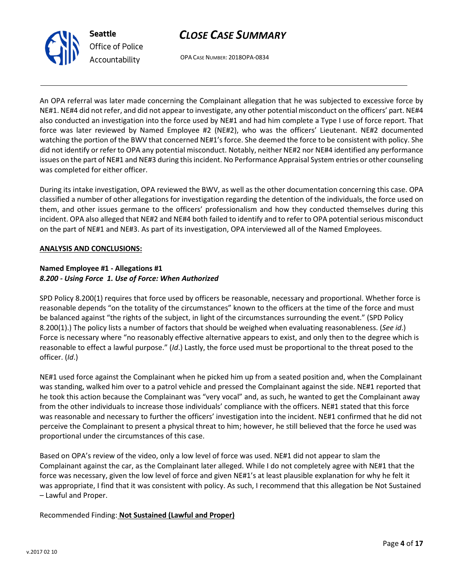



OPA CASE NUMBER: 2018OPA-0834

An OPA referral was later made concerning the Complainant allegation that he was subjected to excessive force by NE#1. NE#4 did not refer, and did not appear to investigate, any other potential misconduct on the officers' part. NE#4 also conducted an investigation into the force used by NE#1 and had him complete a Type I use of force report. That force was later reviewed by Named Employee #2 (NE#2), who was the officers' Lieutenant. NE#2 documented watching the portion of the BWV that concerned NE#1's force. She deemed the force to be consistent with policy. She did not identify or refer to OPA any potential misconduct. Notably, neither NE#2 nor NE#4 identified any performance issues on the part of NE#1 and NE#3 during this incident. No Performance Appraisal System entries or other counseling was completed for either officer.

During its intake investigation, OPA reviewed the BWV, as well as the other documentation concerning this case. OPA classified a number of other allegations for investigation regarding the detention of the individuals, the force used on them, and other issues germane to the officers' professionalism and how they conducted themselves during this incident. OPA also alleged that NE#2 and NE#4 both failed to identify and to refer to OPA potential serious misconduct on the part of NE#1 and NE#3. As part of its investigation, OPA interviewed all of the Named Employees.

#### ANALYSIS AND CONCLUSIONS:

### Named Employee #1 - Allegations #1 8.200 - Using Force 1. Use of Force: When Authorized

SPD Policy 8.200(1) requires that force used by officers be reasonable, necessary and proportional. Whether force is reasonable depends "on the totality of the circumstances" known to the officers at the time of the force and must be balanced against "the rights of the subject, in light of the circumstances surrounding the event." (SPD Policy 8.200(1).) The policy lists a number of factors that should be weighed when evaluating reasonableness. (See id.) Force is necessary where "no reasonably effective alternative appears to exist, and only then to the degree which is reasonable to effect a lawful purpose." (Id.) Lastly, the force used must be proportional to the threat posed to the officer. (Id.)

NE#1 used force against the Complainant when he picked him up from a seated position and, when the Complainant was standing, walked him over to a patrol vehicle and pressed the Complainant against the side. NE#1 reported that he took this action because the Complainant was "very vocal" and, as such, he wanted to get the Complainant away from the other individuals to increase those individuals' compliance with the officers. NE#1 stated that this force was reasonable and necessary to further the officers' investigation into the incident. NE#1 confirmed that he did not perceive the Complainant to present a physical threat to him; however, he still believed that the force he used was proportional under the circumstances of this case.

Based on OPA's review of the video, only a low level of force was used. NE#1 did not appear to slam the Complainant against the car, as the Complainant later alleged. While I do not completely agree with NE#1 that the force was necessary, given the low level of force and given NE#1's at least plausible explanation for why he felt it was appropriate, I find that it was consistent with policy. As such, I recommend that this allegation be Not Sustained – Lawful and Proper.

### Recommended Finding: Not Sustained (Lawful and Proper)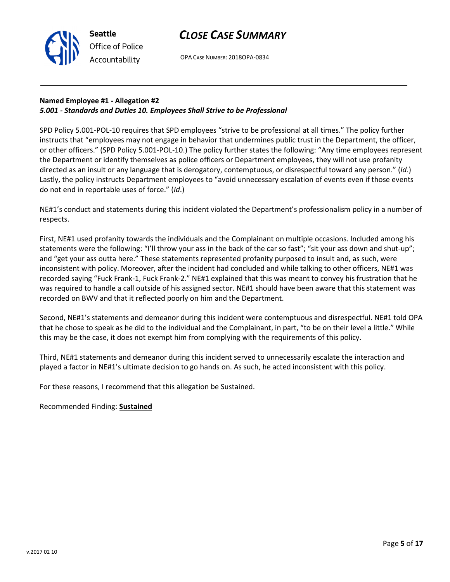

OPA CASE NUMBER: 2018OPA-0834

## Named Employee #1 - Allegation #2 5.001 - Standards and Duties 10. Employees Shall Strive to be Professional

SPD Policy 5.001-POL-10 requires that SPD employees "strive to be professional at all times." The policy further instructs that "employees may not engage in behavior that undermines public trust in the Department, the officer, or other officers." (SPD Policy 5.001-POL-10.) The policy further states the following: "Any time employees represent the Department or identify themselves as police officers or Department employees, they will not use profanity directed as an insult or any language that is derogatory, contemptuous, or disrespectful toward any person." (Id.) Lastly, the policy instructs Department employees to "avoid unnecessary escalation of events even if those events do not end in reportable uses of force." (Id.)

NE#1's conduct and statements during this incident violated the Department's professionalism policy in a number of respects.

First, NE#1 used profanity towards the individuals and the Complainant on multiple occasions. Included among his statements were the following: "I'll throw your ass in the back of the car so fast"; "sit your ass down and shut-up"; and "get your ass outta here." These statements represented profanity purposed to insult and, as such, were inconsistent with policy. Moreover, after the incident had concluded and while talking to other officers, NE#1 was recorded saying "Fuck Frank-1, Fuck Frank-2." NE#1 explained that this was meant to convey his frustration that he was required to handle a call outside of his assigned sector. NE#1 should have been aware that this statement was recorded on BWV and that it reflected poorly on him and the Department.

Second, NE#1's statements and demeanor during this incident were contemptuous and disrespectful. NE#1 told OPA that he chose to speak as he did to the individual and the Complainant, in part, "to be on their level a little." While this may be the case, it does not exempt him from complying with the requirements of this policy.

Third, NE#1 statements and demeanor during this incident served to unnecessarily escalate the interaction and played a factor in NE#1's ultimate decision to go hands on. As such, he acted inconsistent with this policy.

For these reasons, I recommend that this allegation be Sustained.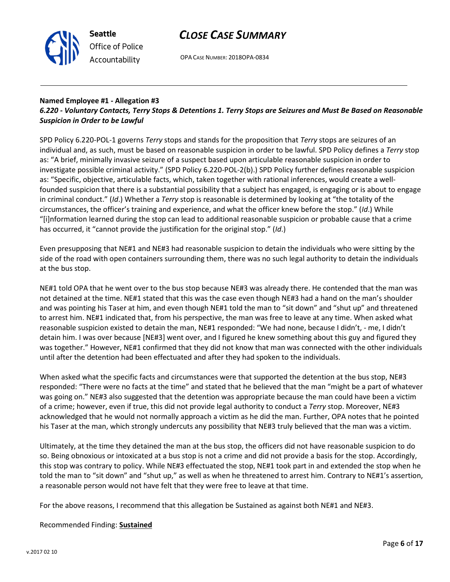



OPA CASE NUMBER: 2018OPA-0834

#### Named Employee #1 - Allegation #3 6.220 - Voluntary Contacts, Terry Stops & Detentions 1. Terry Stops are Seizures and Must Be Based on Reasonable Suspicion in Order to be Lawful

SPD Policy 6.220-POL-1 governs Terry stops and stands for the proposition that Terry stops are seizures of an individual and, as such, must be based on reasonable suspicion in order to be lawful. SPD Policy defines a Terry stop as: "A brief, minimally invasive seizure of a suspect based upon articulable reasonable suspicion in order to investigate possible criminal activity." (SPD Policy 6.220-POL-2(b).) SPD Policy further defines reasonable suspicion as: "Specific, objective, articulable facts, which, taken together with rational inferences, would create a wellfounded suspicion that there is a substantial possibility that a subject has engaged, is engaging or is about to engage in criminal conduct." (Id.) Whether a Terry stop is reasonable is determined by looking at "the totality of the circumstances, the officer's training and experience, and what the officer knew before the stop." (Id.) While "[i]nformation learned during the stop can lead to additional reasonable suspicion or probable cause that a crime has occurred, it "cannot provide the justification for the original stop." (Id.)

Even presupposing that NE#1 and NE#3 had reasonable suspicion to detain the individuals who were sitting by the side of the road with open containers surrounding them, there was no such legal authority to detain the individuals at the bus stop.

NE#1 told OPA that he went over to the bus stop because NE#3 was already there. He contended that the man was not detained at the time. NE#1 stated that this was the case even though NE#3 had a hand on the man's shoulder and was pointing his Taser at him, and even though NE#1 told the man to "sit down" and "shut up" and threatened to arrest him. NE#1 indicated that, from his perspective, the man was free to leave at any time. When asked what reasonable suspicion existed to detain the man, NE#1 responded: "We had none, because I didn't, - me, I didn't detain him. I was over because [NE#3] went over, and I figured he knew something about this guy and figured they was together." However, NE#1 confirmed that they did not know that man was connected with the other individuals until after the detention had been effectuated and after they had spoken to the individuals.

When asked what the specific facts and circumstances were that supported the detention at the bus stop, NE#3 responded: "There were no facts at the time" and stated that he believed that the man "might be a part of whatever was going on." NE#3 also suggested that the detention was appropriate because the man could have been a victim of a crime; however, even if true, this did not provide legal authority to conduct a Terry stop. Moreover, NE#3 acknowledged that he would not normally approach a victim as he did the man. Further, OPA notes that he pointed his Taser at the man, which strongly undercuts any possibility that NE#3 truly believed that the man was a victim.

Ultimately, at the time they detained the man at the bus stop, the officers did not have reasonable suspicion to do so. Being obnoxious or intoxicated at a bus stop is not a crime and did not provide a basis for the stop. Accordingly, this stop was contrary to policy. While NE#3 effectuated the stop, NE#1 took part in and extended the stop when he told the man to "sit down" and "shut up," as well as when he threatened to arrest him. Contrary to NE#1's assertion, a reasonable person would not have felt that they were free to leave at that time.

For the above reasons, I recommend that this allegation be Sustained as against both NE#1 and NE#3.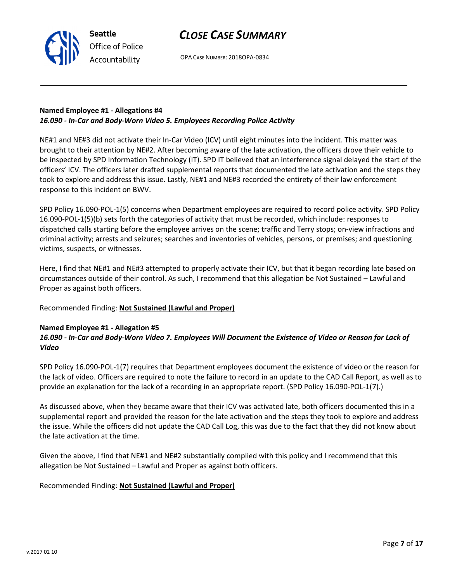

OPA CASE NUMBER: 2018OPA-0834

### Named Employee #1 - Allegations #4 16.090 - In-Car and Body-Worn Video 5. Employees Recording Police Activity

NE#1 and NE#3 did not activate their In-Car Video (ICV) until eight minutes into the incident. This matter was brought to their attention by NE#2. After becoming aware of the late activation, the officers drove their vehicle to be inspected by SPD Information Technology (IT). SPD IT believed that an interference signal delayed the start of the officers' ICV. The officers later drafted supplemental reports that documented the late activation and the steps they took to explore and address this issue. Lastly, NE#1 and NE#3 recorded the entirety of their law enforcement response to this incident on BWV.

SPD Policy 16.090-POL-1(5) concerns when Department employees are required to record police activity. SPD Policy 16.090-POL-1(5)(b) sets forth the categories of activity that must be recorded, which include: responses to dispatched calls starting before the employee arrives on the scene; traffic and Terry stops; on-view infractions and criminal activity; arrests and seizures; searches and inventories of vehicles, persons, or premises; and questioning victims, suspects, or witnesses.

Here, I find that NE#1 and NE#3 attempted to properly activate their ICV, but that it began recording late based on circumstances outside of their control. As such, I recommend that this allegation be Not Sustained – Lawful and Proper as against both officers.

Recommended Finding: Not Sustained (Lawful and Proper)

## Named Employee #1 - Allegation #5

## 16.090 - In-Car and Body-Worn Video 7. Employees Will Document the Existence of Video or Reason for Lack of Video

SPD Policy 16.090-POL-1(7) requires that Department employees document the existence of video or the reason for the lack of video. Officers are required to note the failure to record in an update to the CAD Call Report, as well as to provide an explanation for the lack of a recording in an appropriate report. (SPD Policy 16.090-POL-1(7).)

As discussed above, when they became aware that their ICV was activated late, both officers documented this in a supplemental report and provided the reason for the late activation and the steps they took to explore and address the issue. While the officers did not update the CAD Call Log, this was due to the fact that they did not know about the late activation at the time.

Given the above, I find that NE#1 and NE#2 substantially complied with this policy and I recommend that this allegation be Not Sustained – Lawful and Proper as against both officers.

### Recommended Finding: Not Sustained (Lawful and Proper)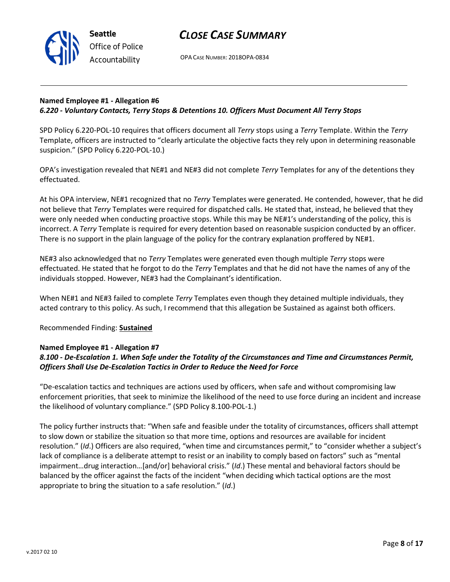

OPA CASE NUMBER: 2018OPA-0834

### Named Employee #1 - Allegation #6 6.220 - Voluntary Contacts, Terry Stops & Detentions 10. Officers Must Document All Terry Stops

SPD Policy 6.220-POL-10 requires that officers document all Terry stops using a Terry Template. Within the Terry Template, officers are instructed to "clearly articulate the objective facts they rely upon in determining reasonable suspicion." (SPD Policy 6.220-POL-10.)

OPA's investigation revealed that NE#1 and NE#3 did not complete Terry Templates for any of the detentions they effectuated.

At his OPA interview, NE#1 recognized that no Terry Templates were generated. He contended, however, that he did not believe that Terry Templates were required for dispatched calls. He stated that, instead, he believed that they were only needed when conducting proactive stops. While this may be NE#1's understanding of the policy, this is incorrect. A Terry Template is required for every detention based on reasonable suspicion conducted by an officer. There is no support in the plain language of the policy for the contrary explanation proffered by NE#1.

NE#3 also acknowledged that no Terry Templates were generated even though multiple Terry stops were effectuated. He stated that he forgot to do the Terry Templates and that he did not have the names of any of the individuals stopped. However, NE#3 had the Complainant's identification.

When NE#1 and NE#3 failed to complete Terry Templates even though they detained multiple individuals, they acted contrary to this policy. As such, I recommend that this allegation be Sustained as against both officers.

### Recommended Finding: Sustained

### Named Employee #1 - Allegation #7

## 8.100 - De-Escalation 1. When Safe under the Totality of the Circumstances and Time and Circumstances Permit, Officers Shall Use De-Escalation Tactics in Order to Reduce the Need for Force

"De-escalation tactics and techniques are actions used by officers, when safe and without compromising law enforcement priorities, that seek to minimize the likelihood of the need to use force during an incident and increase the likelihood of voluntary compliance." (SPD Policy 8.100-POL-1.)

The policy further instructs that: "When safe and feasible under the totality of circumstances, officers shall attempt to slow down or stabilize the situation so that more time, options and resources are available for incident resolution." (Id.) Officers are also required, "when time and circumstances permit," to "consider whether a subject's lack of compliance is a deliberate attempt to resist or an inability to comply based on factors" such as "mental impairment…drug interaction…[and/or] behavioral crisis." (Id.) These mental and behavioral factors should be balanced by the officer against the facts of the incident "when deciding which tactical options are the most appropriate to bring the situation to a safe resolution." (Id.)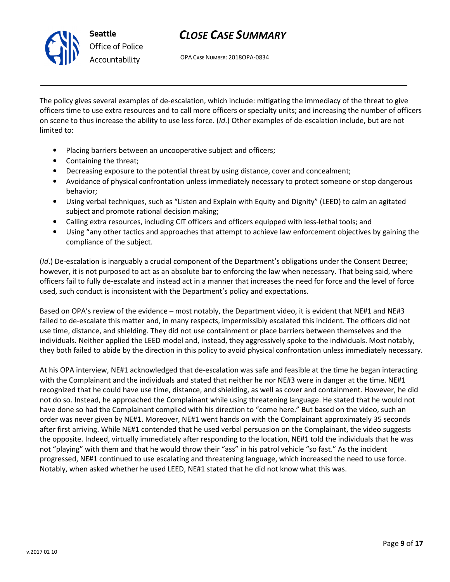

OPA CASE NUMBER: 2018OPA-0834

The policy gives several examples of de-escalation, which include: mitigating the immediacy of the threat to give officers time to use extra resources and to call more officers or specialty units; and increasing the number of officers on scene to thus increase the ability to use less force. (Id.) Other examples of de-escalation include, but are not limited to:

- Placing barriers between an uncooperative subject and officers;
- Containing the threat;
- Decreasing exposure to the potential threat by using distance, cover and concealment;
- Avoidance of physical confrontation unless immediately necessary to protect someone or stop dangerous behavior;
- Using verbal techniques, such as "Listen and Explain with Equity and Dignity" (LEED) to calm an agitated subject and promote rational decision making;
- Calling extra resources, including CIT officers and officers equipped with less-lethal tools; and
- Using "any other tactics and approaches that attempt to achieve law enforcement objectives by gaining the compliance of the subject.

(Id.) De-escalation is inarguably a crucial component of the Department's obligations under the Consent Decree; however, it is not purposed to act as an absolute bar to enforcing the law when necessary. That being said, where officers fail to fully de-escalate and instead act in a manner that increases the need for force and the level of force used, such conduct is inconsistent with the Department's policy and expectations.

Based on OPA's review of the evidence – most notably, the Department video, it is evident that NE#1 and NE#3 failed to de-escalate this matter and, in many respects, impermissibly escalated this incident. The officers did not use time, distance, and shielding. They did not use containment or place barriers between themselves and the individuals. Neither applied the LEED model and, instead, they aggressively spoke to the individuals. Most notably, they both failed to abide by the direction in this policy to avoid physical confrontation unless immediately necessary.

At his OPA interview, NE#1 acknowledged that de-escalation was safe and feasible at the time he began interacting with the Complainant and the individuals and stated that neither he nor NE#3 were in danger at the time. NE#1 recognized that he could have use time, distance, and shielding, as well as cover and containment. However, he did not do so. Instead, he approached the Complainant while using threatening language. He stated that he would not have done so had the Complainant complied with his direction to "come here." But based on the video, such an order was never given by NE#1. Moreover, NE#1 went hands on with the Complainant approximately 35 seconds after first arriving. While NE#1 contended that he used verbal persuasion on the Complainant, the video suggests the opposite. Indeed, virtually immediately after responding to the location, NE#1 told the individuals that he was not "playing" with them and that he would throw their "ass" in his patrol vehicle "so fast." As the incident progressed, NE#1 continued to use escalating and threatening language, which increased the need to use force. Notably, when asked whether he used LEED, NE#1 stated that he did not know what this was.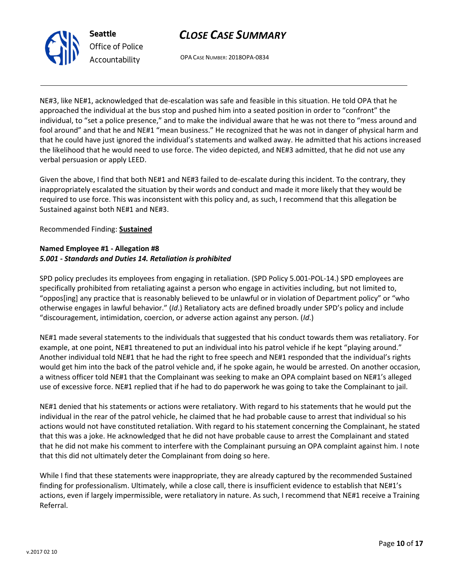

OPA CASE NUMBER: 2018OPA-0834

NE#3, like NE#1, acknowledged that de-escalation was safe and feasible in this situation. He told OPA that he approached the individual at the bus stop and pushed him into a seated position in order to "confront" the individual, to "set a police presence," and to make the individual aware that he was not there to "mess around and fool around" and that he and NE#1 "mean business." He recognized that he was not in danger of physical harm and that he could have just ignored the individual's statements and walked away. He admitted that his actions increased the likelihood that he would need to use force. The video depicted, and NE#3 admitted, that he did not use any verbal persuasion or apply LEED.

Given the above, I find that both NE#1 and NE#3 failed to de-escalate during this incident. To the contrary, they inappropriately escalated the situation by their words and conduct and made it more likely that they would be required to use force. This was inconsistent with this policy and, as such, I recommend that this allegation be Sustained against both NE#1 and NE#3.

Recommended Finding: Sustained

## Named Employee #1 - Allegation #8 5.001 - Standards and Duties 14. Retaliation is prohibited

SPD policy precludes its employees from engaging in retaliation. (SPD Policy 5.001-POL-14.) SPD employees are specifically prohibited from retaliating against a person who engage in activities including, but not limited to, "oppos[ing] any practice that is reasonably believed to be unlawful or in violation of Department policy" or "who otherwise engages in lawful behavior." (Id.) Retaliatory acts are defined broadly under SPD's policy and include "discouragement, intimidation, coercion, or adverse action against any person. (Id.)

NE#1 made several statements to the individuals that suggested that his conduct towards them was retaliatory. For example, at one point, NE#1 threatened to put an individual into his patrol vehicle if he kept "playing around." Another individual told NE#1 that he had the right to free speech and NE#1 responded that the individual's rights would get him into the back of the patrol vehicle and, if he spoke again, he would be arrested. On another occasion, a witness officer told NE#1 that the Complainant was seeking to make an OPA complaint based on NE#1's alleged use of excessive force. NE#1 replied that if he had to do paperwork he was going to take the Complainant to jail.

NE#1 denied that his statements or actions were retaliatory. With regard to his statements that he would put the individual in the rear of the patrol vehicle, he claimed that he had probable cause to arrest that individual so his actions would not have constituted retaliation. With regard to his statement concerning the Complainant, he stated that this was a joke. He acknowledged that he did not have probable cause to arrest the Complainant and stated that he did not make his comment to interfere with the Complainant pursuing an OPA complaint against him. I note that this did not ultimately deter the Complainant from doing so here.

While I find that these statements were inappropriate, they are already captured by the recommended Sustained finding for professionalism. Ultimately, while a close call, there is insufficient evidence to establish that NE#1's actions, even if largely impermissible, were retaliatory in nature. As such, I recommend that NE#1 receive a Training Referral.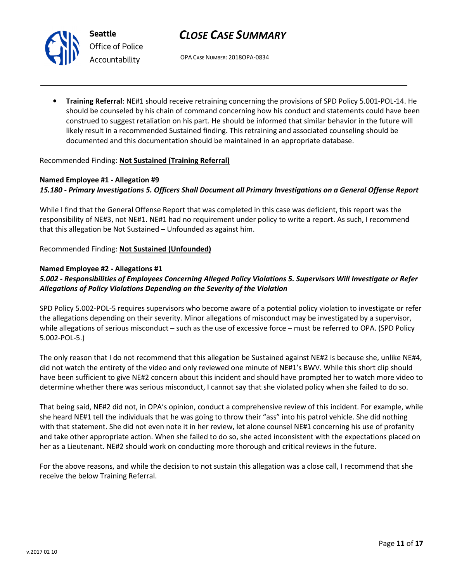

# CLOSE CASE SUMMARY

OPA CASE NUMBER: 2018OPA-0834

• Training Referral: NE#1 should receive retraining concerning the provisions of SPD Policy 5.001-POL-14. He should be counseled by his chain of command concerning how his conduct and statements could have been construed to suggest retaliation on his part. He should be informed that similar behavior in the future will likely result in a recommended Sustained finding. This retraining and associated counseling should be documented and this documentation should be maintained in an appropriate database.

### Recommended Finding: Not Sustained (Training Referral)

## Named Employee #1 - Allegation #9 15.180 - Primary Investigations 5. Officers Shall Document all Primary Investigations on a General Offense Report

While I find that the General Offense Report that was completed in this case was deficient, this report was the responsibility of NE#3, not NE#1. NE#1 had no requirement under policy to write a report. As such, I recommend that this allegation be Not Sustained – Unfounded as against him.

Recommended Finding: Not Sustained (Unfounded)

### Named Employee #2 - Allegations #1

## 5.002 - Responsibilities of Employees Concerning Alleged Policy Violations 5. Supervisors Will Investigate or Refer Allegations of Policy Violations Depending on the Severity of the Violation

SPD Policy 5.002-POL-5 requires supervisors who become aware of a potential policy violation to investigate or refer the allegations depending on their severity. Minor allegations of misconduct may be investigated by a supervisor, while allegations of serious misconduct – such as the use of excessive force – must be referred to OPA. (SPD Policy 5.002-POL-5.)

The only reason that I do not recommend that this allegation be Sustained against NE#2 is because she, unlike NE#4, did not watch the entirety of the video and only reviewed one minute of NE#1's BWV. While this short clip should have been sufficient to give NE#2 concern about this incident and should have prompted her to watch more video to determine whether there was serious misconduct, I cannot say that she violated policy when she failed to do so.

That being said, NE#2 did not, in OPA's opinion, conduct a comprehensive review of this incident. For example, while she heard NE#1 tell the individuals that he was going to throw their "ass" into his patrol vehicle. She did nothing with that statement. She did not even note it in her review, let alone counsel NE#1 concerning his use of profanity and take other appropriate action. When she failed to do so, she acted inconsistent with the expectations placed on her as a Lieutenant. NE#2 should work on conducting more thorough and critical reviews in the future.

For the above reasons, and while the decision to not sustain this allegation was a close call, I recommend that she receive the below Training Referral.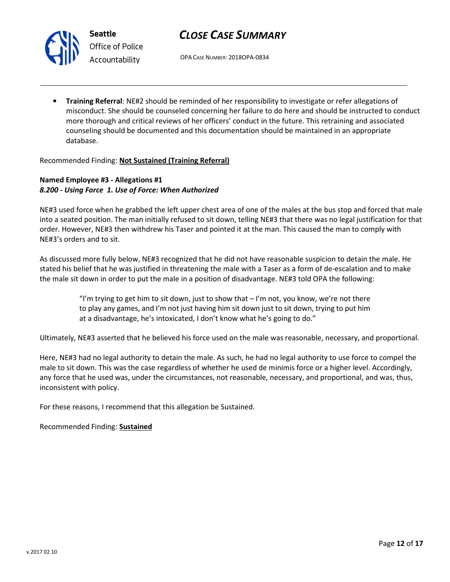

# CLOSE CASE SUMMARY

OPA CASE NUMBER: 2018OPA-0834

• Training Referral: NE#2 should be reminded of her responsibility to investigate or refer allegations of misconduct. She should be counseled concerning her failure to do here and should be instructed to conduct more thorough and critical reviews of her officers' conduct in the future. This retraining and associated counseling should be documented and this documentation should be maintained in an appropriate database.

Recommended Finding: Not Sustained (Training Referral)

### Named Employee #3 - Allegations #1 8.200 - Using Force 1. Use of Force: When Authorized

NE#3 used force when he grabbed the left upper chest area of one of the males at the bus stop and forced that male into a seated position. The man initially refused to sit down, telling NE#3 that there was no legal justification for that order. However, NE#3 then withdrew his Taser and pointed it at the man. This caused the man to comply with NE#3's orders and to sit.

As discussed more fully below, NE#3 recognized that he did not have reasonable suspicion to detain the male. He stated his belief that he was justified in threatening the male with a Taser as a form of de-escalation and to make the male sit down in order to put the male in a position of disadvantage. NE#3 told OPA the following:

> "I'm trying to get him to sit down, just to show that  $-1$ 'm not, you know, we're not there to play any games, and I'm not just having him sit down just to sit down, trying to put him at a disadvantage, he's intoxicated, I don't know what he's going to do."

Ultimately, NE#3 asserted that he believed his force used on the male was reasonable, necessary, and proportional.

Here, NE#3 had no legal authority to detain the male. As such, he had no legal authority to use force to compel the male to sit down. This was the case regardless of whether he used de minimis force or a higher level. Accordingly, any force that he used was, under the circumstances, not reasonable, necessary, and proportional, and was, thus, inconsistent with policy.

For these reasons, I recommend that this allegation be Sustained.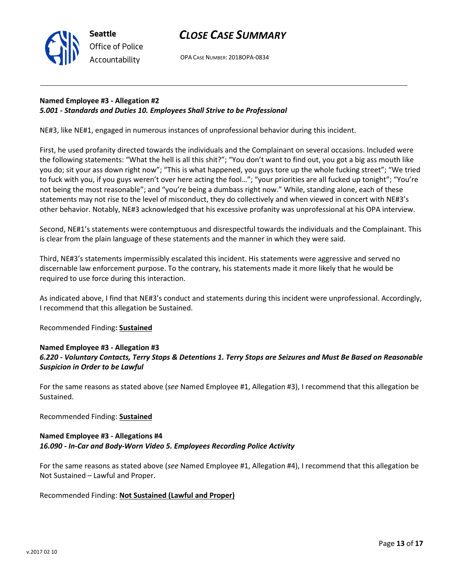

OPA CASE NUMBER: 2018OPA-0834

### Named Employee #3 - Allegation #2 5.001 - Standards and Duties 10. Employees Shall Strive to be Professional

NE#3, like NE#1, engaged in numerous instances of unprofessional behavior during this incident.

First, he used profanity directed towards the individuals and the Complainant on several occasions. Included were the following statements: "What the hell is all this shit?"; "You don't want to find out, you got a big ass mouth like you do; sit your ass down right now"; "This is what happened, you guys tore up the whole fucking street"; "We tried to fuck with you, if you guys weren't over here acting the fool…"; "your priorities are all fucked up tonight"; "You're not being the most reasonable"; and "you're being a dumbass right now." While, standing alone, each of these statements may not rise to the level of misconduct, they do collectively and when viewed in concert with NE#3's other behavior. Notably, NE#3 acknowledged that his excessive profanity was unprofessional at his OPA interview.

Second, NE#1's statements were contemptuous and disrespectful towards the individuals and the Complainant. This is clear from the plain language of these statements and the manner in which they were said.

Third, NE#3's statements impermissibly escalated this incident. His statements were aggressive and served no discernable law enforcement purpose. To the contrary, his statements made it more likely that he would be required to use force during this interaction.

As indicated above, I find that NE#3's conduct and statements during this incident were unprofessional. Accordingly, I recommend that this allegation be Sustained.

Recommended Finding: Sustained

## Named Employee #3 - Allegation #3 6.220 - Voluntary Contacts, Terry Stops & Detentions 1. Terry Stops are Seizures and Must Be Based on Reasonable Suspicion in Order to be Lawful

For the same reasons as stated above (see Named Employee #1, Allegation #3), I recommend that this allegation be Sustained.

Recommended Finding: Sustained

## Named Employee #3 - Allegations #4 16.090 - In-Car and Body-Worn Video 5. Employees Recording Police Activity

For the same reasons as stated above (see Named Employee #1, Allegation #4), I recommend that this allegation be Not Sustained – Lawful and Proper.

Recommended Finding: Not Sustained (Lawful and Proper)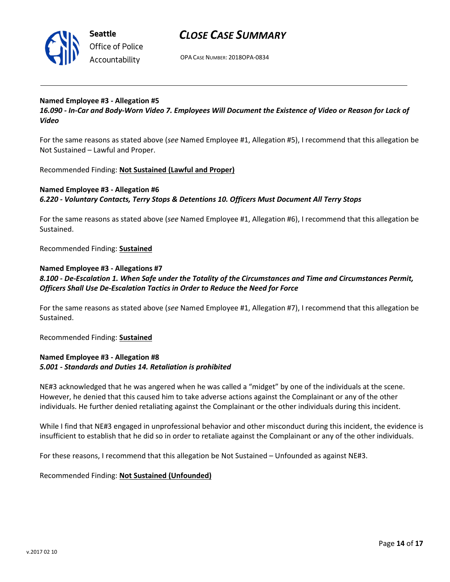

# CLOSE CASE SUMMARY

OPA CASE NUMBER: 2018OPA-0834

#### Named Employee #3 - Allegation #5

16.090 - In-Car and Body-Worn Video 7. Employees Will Document the Existence of Video or Reason for Lack of Video

For the same reasons as stated above (see Named Employee #1, Allegation #5), I recommend that this allegation be Not Sustained – Lawful and Proper.

Recommended Finding: Not Sustained (Lawful and Proper)

### Named Employee #3 - Allegation #6 6.220 - Voluntary Contacts, Terry Stops & Detentions 10. Officers Must Document All Terry Stops

For the same reasons as stated above (see Named Employee #1, Allegation #6), I recommend that this allegation be Sustained.

Recommended Finding: Sustained

#### Named Employee #3 - Allegations #7

8.100 - De-Escalation 1. When Safe under the Totality of the Circumstances and Time and Circumstances Permit, Officers Shall Use De-Escalation Tactics in Order to Reduce the Need for Force

For the same reasons as stated above (see Named Employee #1, Allegation #7), I recommend that this allegation be Sustained.

Recommended Finding: Sustained

#### Named Employee #3 - Allegation #8 5.001 - Standards and Duties 14. Retaliation is prohibited

NE#3 acknowledged that he was angered when he was called a "midget" by one of the individuals at the scene. However, he denied that this caused him to take adverse actions against the Complainant or any of the other individuals. He further denied retaliating against the Complainant or the other individuals during this incident.

While I find that NE#3 engaged in unprofessional behavior and other misconduct during this incident, the evidence is insufficient to establish that he did so in order to retaliate against the Complainant or any of the other individuals.

For these reasons, I recommend that this allegation be Not Sustained – Unfounded as against NE#3.

Recommended Finding: Not Sustained (Unfounded)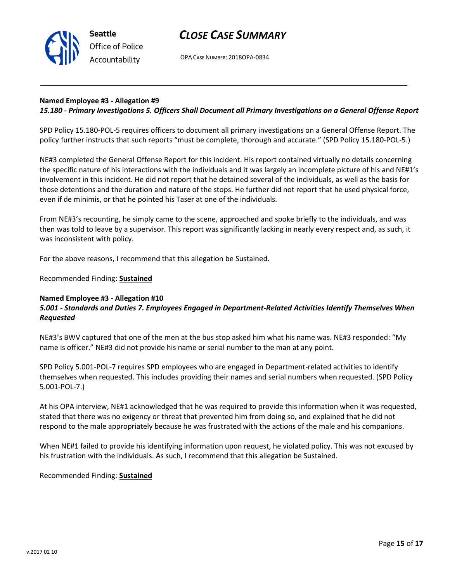

OPA CASE NUMBER: 2018OPA-0834

### Named Employee #3 - Allegation #9

#### 15.180 - Primary Investigations 5. Officers Shall Document all Primary Investigations on a General Offense Report

SPD Policy 15.180-POL-5 requires officers to document all primary investigations on a General Offense Report. The policy further instructs that such reports "must be complete, thorough and accurate." (SPD Policy 15.180-POL-5.)

NE#3 completed the General Offense Report for this incident. His report contained virtually no details concerning the specific nature of his interactions with the individuals and it was largely an incomplete picture of his and NE#1's involvement in this incident. He did not report that he detained several of the individuals, as well as the basis for those detentions and the duration and nature of the stops. He further did not report that he used physical force, even if de minimis, or that he pointed his Taser at one of the individuals.

From NE#3's recounting, he simply came to the scene, approached and spoke briefly to the individuals, and was then was told to leave by a supervisor. This report was significantly lacking in nearly every respect and, as such, it was inconsistent with policy.

For the above reasons, I recommend that this allegation be Sustained.

Recommended Finding: Sustained

#### Named Employee #3 - Allegation #10

### 5.001 - Standards and Duties 7. Employees Engaged in Department-Related Activities Identify Themselves When Requested

NE#3's BWV captured that one of the men at the bus stop asked him what his name was. NE#3 responded: "My name is officer." NE#3 did not provide his name or serial number to the man at any point.

SPD Policy 5.001-POL-7 requires SPD employees who are engaged in Department-related activities to identify themselves when requested. This includes providing their names and serial numbers when requested. (SPD Policy 5.001-POL-7.)

At his OPA interview, NE#1 acknowledged that he was required to provide this information when it was requested, stated that there was no exigency or threat that prevented him from doing so, and explained that he did not respond to the male appropriately because he was frustrated with the actions of the male and his companions.

When NE#1 failed to provide his identifying information upon request, he violated policy. This was not excused by his frustration with the individuals. As such, I recommend that this allegation be Sustained.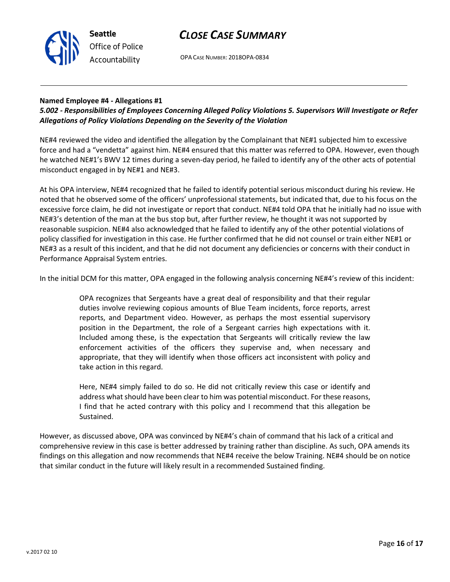

OPA CASE NUMBER: 2018OPA-0834

### Named Employee #4 - Allegations #1

## 5.002 - Responsibilities of Employees Concerning Alleged Policy Violations 5. Supervisors Will Investigate or Refer Allegations of Policy Violations Depending on the Severity of the Violation

NE#4 reviewed the video and identified the allegation by the Complainant that NE#1 subjected him to excessive force and had a "vendetta" against him. NE#4 ensured that this matter was referred to OPA. However, even though he watched NE#1's BWV 12 times during a seven-day period, he failed to identify any of the other acts of potential misconduct engaged in by NE#1 and NE#3.

At his OPA interview, NE#4 recognized that he failed to identify potential serious misconduct during his review. He noted that he observed some of the officers' unprofessional statements, but indicated that, due to his focus on the excessive force claim, he did not investigate or report that conduct. NE#4 told OPA that he initially had no issue with NE#3's detention of the man at the bus stop but, after further review, he thought it was not supported by reasonable suspicion. NE#4 also acknowledged that he failed to identify any of the other potential violations of policy classified for investigation in this case. He further confirmed that he did not counsel or train either NE#1 or NE#3 as a result of this incident, and that he did not document any deficiencies or concerns with their conduct in Performance Appraisal System entries.

In the initial DCM for this matter, OPA engaged in the following analysis concerning NE#4's review of this incident:

OPA recognizes that Sergeants have a great deal of responsibility and that their regular duties involve reviewing copious amounts of Blue Team incidents, force reports, arrest reports, and Department video. However, as perhaps the most essential supervisory position in the Department, the role of a Sergeant carries high expectations with it. Included among these, is the expectation that Sergeants will critically review the law enforcement activities of the officers they supervise and, when necessary and appropriate, that they will identify when those officers act inconsistent with policy and take action in this regard.

Here, NE#4 simply failed to do so. He did not critically review this case or identify and address what should have been clear to him was potential misconduct. For these reasons, I find that he acted contrary with this policy and I recommend that this allegation be Sustained.

However, as discussed above, OPA was convinced by NE#4's chain of command that his lack of a critical and comprehensive review in this case is better addressed by training rather than discipline. As such, OPA amends its findings on this allegation and now recommends that NE#4 receive the below Training. NE#4 should be on notice that similar conduct in the future will likely result in a recommended Sustained finding.